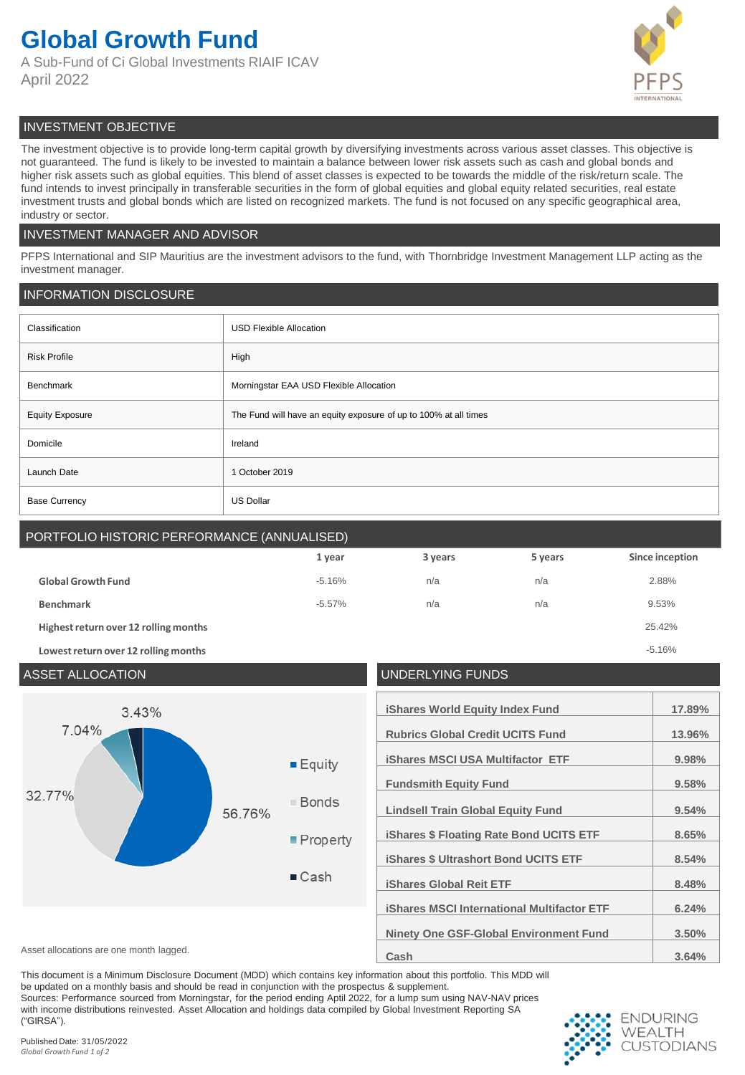# **Global Growth Fund**

A Sub-Fund of Ci Global Investments RIAIF ICAV April 2022



## INVESTMENT OBJECTIVE

The investment objective is to provide long-term capital growth by diversifying investments across various asset classes. This objective is not guaranteed. The fund is likely to be invested to maintain a balance between lower risk assets such as cash and global bonds and higher risk assets such as global equities. This blend of asset classes is expected to be towards the middle of the risk/return scale. The fund intends to invest principally in transferable securities in the form of global equities and global equity related securities, real estate investment trusts and global bonds which are listed on recognized markets. The fund is not focused on any specific geographical area, industry or sector.

## INVESTMENT MANAGER AND ADVISOR

PFPS International and SIP Mauritius are the investment advisors to the fund, with Thornbridge Investment Management LLP acting as the investment manager.

## INFORMATION DISCLOSURE

| Classification         | <b>USD Flexible Allocation</b>                                   |
|------------------------|------------------------------------------------------------------|
| <b>Risk Profile</b>    | High                                                             |
| Benchmark              | Morningstar EAA USD Flexible Allocation                          |
| <b>Equity Exposure</b> | The Fund will have an equity exposure of up to 100% at all times |
| Domicile               | Ireland                                                          |
| Launch Date            | 1 October 2019                                                   |
| <b>Base Currency</b>   | <b>US Dollar</b>                                                 |

# PORTFOLIO HISTORIC PERFORMANCE (ANNUALISED)

|                                       | 1 year    | 3 years | 5 years | Since inception |
|---------------------------------------|-----------|---------|---------|-----------------|
| <b>Global Growth Fund</b>             | $-5.16%$  | n/a     | n/a     | 2.88%           |
| <b>Benchmark</b>                      | $-5.57\%$ | n/a     | n/a     | 9.53%           |
| Highest return over 12 rolling months |           |         |         | 25.42%          |
| Lowest return over 12 rolling months  |           |         |         | $-5.16%$        |

| <b>ASSET ALLOCATION</b>                 |        | <b>UNDERLYING FUNDS</b>                                                |                                                                                                                                                                                                                                                                                                                                             |                                                                        |
|-----------------------------------------|--------|------------------------------------------------------------------------|---------------------------------------------------------------------------------------------------------------------------------------------------------------------------------------------------------------------------------------------------------------------------------------------------------------------------------------------|------------------------------------------------------------------------|
| 3.43%<br>7.04%<br>32.77%                | 56.76% | $E$ quity<br>■ Bonds<br>$\blacksquare$ Property<br>$\blacksquare$ Cash | <b>iShares World Equity Index Fund</b><br><b>Rubrics Global Credit UCITS Fund</b><br><b>iShares MSCI USA Multifactor ETF</b><br><b>Fundsmith Equity Fund</b><br><b>Lindsell Train Global Equity Fund</b><br><b>iShares \$ Floating Rate Bond UCITS ETF</b><br><b>iShares \$ Ultrashort Bond UCITS ETF</b><br><b>iShares Global Reit ETF</b> | 17.89%<br>13.96%<br>9.98%<br>9.58%<br>9.54%<br>8.65%<br>8.54%<br>8.48% |
| Asset allocations are one month lagged. |        |                                                                        | <b>iShares MSCI International Multifactor ETF</b><br><b>Ninety One GSF-Global Environment Fund</b><br>Cash                                                                                                                                                                                                                                  | 6.24%<br>3.50%<br>3.64%                                                |

This document is a Minimum Disclosure Document (MDD) which contains key information about this portfolio. This MDD will be updated on a monthly basis and should be read in conjunction with the prospectus & supplement.

Sources: Performance sourced from Morningstar, for the period ending Aptil 2022, for a lump sum using NAV-NAV prices with income distributions reinvested. Asset Allocation and holdings data compiled by Global Investment Reporting SA ("GIRSA").